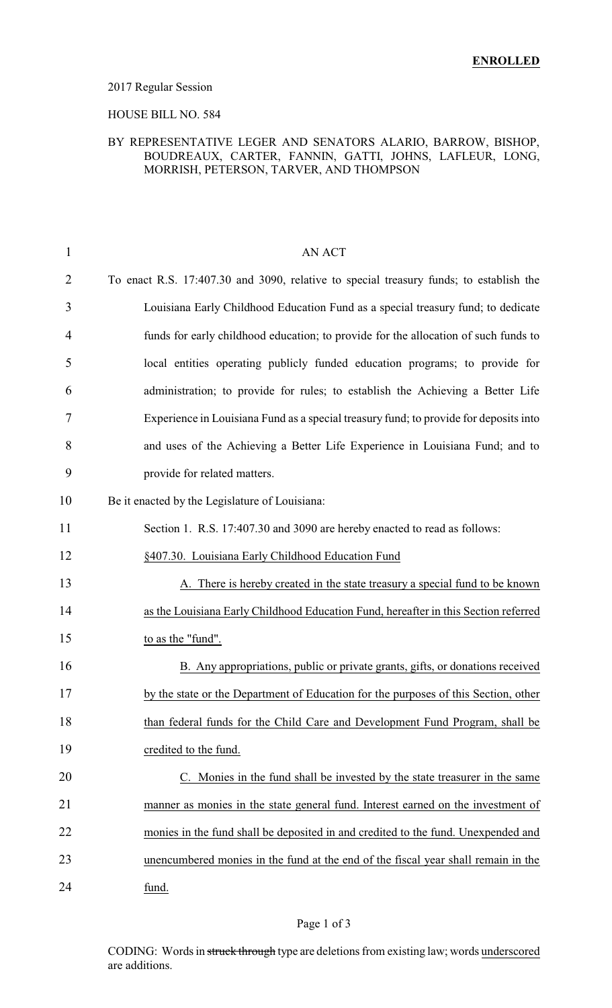#### 2017 Regular Session

### HOUSE BILL NO. 584

### BY REPRESENTATIVE LEGER AND SENATORS ALARIO, BARROW, BISHOP, BOUDREAUX, CARTER, FANNIN, GATTI, JOHNS, LAFLEUR, LONG, MORRISH, PETERSON, TARVER, AND THOMPSON

| $\mathbf{1}$   | <b>AN ACT</b>                                                                          |
|----------------|----------------------------------------------------------------------------------------|
| 2              | To enact R.S. 17:407.30 and 3090, relative to special treasury funds; to establish the |
| 3              | Louisiana Early Childhood Education Fund as a special treasury fund; to dedicate       |
| $\overline{4}$ | funds for early childhood education; to provide for the allocation of such funds to    |
| 5              | local entities operating publicly funded education programs; to provide for            |
| 6              | administration; to provide for rules; to establish the Achieving a Better Life         |
| 7              | Experience in Louisiana Fund as a special treasury fund; to provide for deposits into  |
| 8              | and uses of the Achieving a Better Life Experience in Louisiana Fund; and to           |
| 9              | provide for related matters.                                                           |
| 10             | Be it enacted by the Legislature of Louisiana:                                         |
| 11             | Section 1. R.S. 17:407.30 and 3090 are hereby enacted to read as follows:              |
| 12             | §407.30. Louisiana Early Childhood Education Fund                                      |
| 13             | A. There is hereby created in the state treasury a special fund to be known            |
| 14             | as the Louisiana Early Childhood Education Fund, hereafter in this Section referred    |
| 15             | to as the "fund".                                                                      |
| 16             | B. Any appropriations, public or private grants, gifts, or donations received          |
| 17             | by the state or the Department of Education for the purposes of this Section, other    |
| 18             | than federal funds for the Child Care and Development Fund Program, shall be           |
| 19             | credited to the fund.                                                                  |
| 20             | C. Monies in the fund shall be invested by the state treasurer in the same             |
| 21             | manner as monies in the state general fund. Interest earned on the investment of       |
| 22             | monies in the fund shall be deposited in and credited to the fund. Unexpended and      |
| 23             | unencumbered monies in the fund at the end of the fiscal year shall remain in the      |
| 24             | fund.                                                                                  |

### Page 1 of 3

CODING: Words in struck through type are deletions from existing law; words underscored are additions.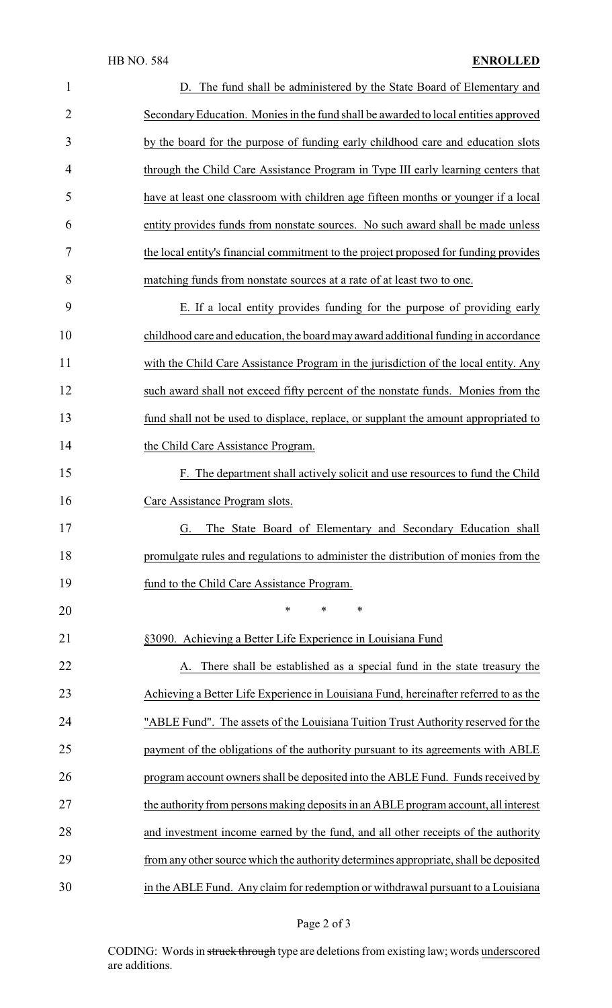| $\mathbf{1}$   | D. The fund shall be administered by the State Board of Elementary and               |
|----------------|--------------------------------------------------------------------------------------|
| $\overline{2}$ | Secondary Education. Monies in the fund shall be awarded to local entities approved  |
| 3              | by the board for the purpose of funding early childhood care and education slots     |
| 4              | through the Child Care Assistance Program in Type III early learning centers that    |
| 5              | have at least one classroom with children age fifteen months or younger if a local   |
| 6              | entity provides funds from nonstate sources. No such award shall be made unless      |
| 7              | the local entity's financial commitment to the project proposed for funding provides |
| 8              | matching funds from nonstate sources at a rate of at least two to one.               |
| 9              | E. If a local entity provides funding for the purpose of providing early             |
| 10             | childhood care and education, the board may award additional funding in accordance   |
| 11             | with the Child Care Assistance Program in the jurisdiction of the local entity. Any  |
| 12             | such award shall not exceed fifty percent of the nonstate funds. Monies from the     |
| 13             | fund shall not be used to displace, replace, or supplant the amount appropriated to  |
| 14             | the Child Care Assistance Program.                                                   |
| 15             | F. The department shall actively solicit and use resources to fund the Child         |
| 16             | Care Assistance Program slots.                                                       |
| 17             | G. The State Board of Elementary and Secondary Education shall                       |
| 18             | promulgate rules and regulations to administer the distribution of monies from the   |
| 19             | fund to the Child Care Assistance Program.                                           |
| 20             | $\ast$<br>*<br>∗                                                                     |
| 21             | §3090. Achieving a Better Life Experience in Louisiana Fund                          |
| 22             | A. There shall be established as a special fund in the state treasury the            |
| 23             | Achieving a Better Life Experience in Louisiana Fund, hereinafter referred to as the |
| 24             | "ABLE Fund". The assets of the Louisiana Tuition Trust Authority reserved for the    |
| 25             | payment of the obligations of the authority pursuant to its agreements with ABLE     |
| 26             | program account owners shall be deposited into the ABLE Fund. Funds received by      |
| 27             | the authority from persons making deposits in an ABLE program account, all interest  |
| 28             | and investment income earned by the fund, and all other receipts of the authority    |
| 29             | from any other source which the authority determines appropriate, shall be deposited |
| 30             | in the ABLE Fund. Any claim for redemption or withdrawal pursuant to a Louisiana     |

# Page 2 of 3

CODING: Words in struck through type are deletions from existing law; words underscored are additions.